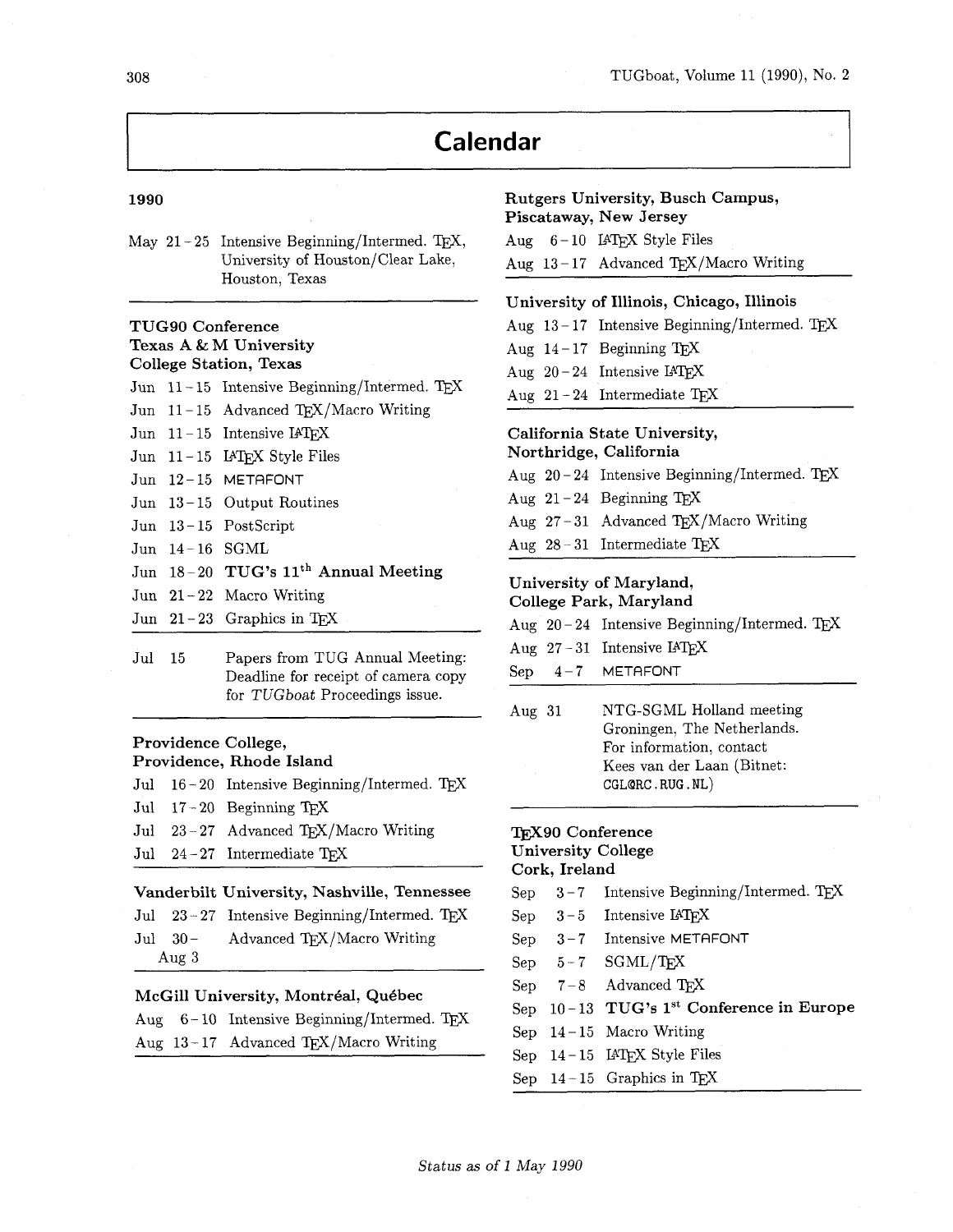# **Calendar**

#### 1990

May  $21 - 25$  Intensive Beginning/Intermed. T<sub>F</sub>X, University of Houston/Clear Lake, Houston, Texas

## **TUG90 Conference Texas A** & **M University College Station, Texas**

|                  | Jun $11-15$ Intensive Beginning/Intermed. TEX   |  |
|------------------|-------------------------------------------------|--|
|                  | Jun 11-15 Advanced TEX/Macro Writing            |  |
|                  | Jun $11-15$ Intensive IATEX                     |  |
|                  | Jun 11-15 IATEX Style Files                     |  |
|                  | Jun 12-15 METAFONT                              |  |
|                  | Jun $13-15$ Output Routines                     |  |
|                  | Jun $13-15$ PostScript                          |  |
| Jun $14-16$ SGML |                                                 |  |
|                  | Jun 18-20 TUG's 11 <sup>th</sup> Annual Meeting |  |
|                  | Jun $21-22$ Macro Writing                       |  |
|                  | Jun $21-23$ Graphics in TFX                     |  |
|                  |                                                 |  |

Jul **15** Papers from TUG Annual Meeting: Deadline for receipt of camera copy for TUGboat Proceedings issue.

#### **Providence College,**

## **Providence, Rhode Island**

- Jul  $16 20$  Intensive Beginning/Intermed. T<sub>E</sub>X Jul **17** - **20** Beginning TEX Jul 23-27 Advanced TEX/Macro Writing
- Jul **24 27** Intermediate QX

#### **Vanderbilt University, Nashville, Tennessee**

Jul 23-27 Intensive Beginning/Intermed. TEX Jul 30- Advanced T<sub>E</sub>X/Macro Writing Aug **3** 

#### **McGill University, Montreal, Qukbec**

|  | Aug $6-10$ Intensive Beginning/Intermed. TEX |
|--|----------------------------------------------|
|  | Aug $13-17$ Advanced TEX/Macro Writing       |

#### **Rutgers University, Busch Campus, Piscataway, New Jersey**

|  | Aug $6-10$ IAT <sub>F</sub> X Style Files |
|--|-------------------------------------------|
|  | Aug 13-17 Advanced TEX/Macro Writing      |

#### **University of Illinois, Chicago, Illinois**

Aug 13-17 Intensive Beginning/Intermed. TEX Aug  $14 - 17$  Beginning T<sub>F</sub>X Aug  $20 - 24$  Intensive IATEX Aug  $13-17$  Advanced TEX/1<br>University of Illinois, Chic<br>Aug  $13-17$  Intensive Beginn<br>Aug  $14-17$  Beginning TEX<br>Aug  $20-24$  Intensive IATEX<br>Aug  $21-24$  Intermediate TE<br>California State University Aug  $21 - 24$  Intermediate T<sub>F</sub>X

#### **California State University, Northridge, California**

|  | Aug $28-31$ Intermediate T <sub>E</sub> X     |
|--|-----------------------------------------------|
|  | Aug $27-31$ Advanced TEX/Macro Writing        |
|  | Aug $21-24$ Beginning TEX                     |
|  | Aug $20-24$ Intensive Beginning/Intermed. TEX |
|  |                                               |

#### **University of Maryland, College Park, Maryland**

|  | _______ |                                             |  |
|--|---------|---------------------------------------------|--|
|  |         | Aug 20-24 Intensive Beginning/Intermed. TEX |  |

- Aug  $27 31$  Intensive  $IATEX$
- Sep **4-7** METAFONT
- Aug **31** NTG-SGML Holland meeting Groningen, The Netherlands. For information, contact Kees van der Laan (Bitnet:  $CGL@RC.RUG.NL)$  $\begin{array}{ll} \text{Aug 27--31 Inter} \ \text{Sep} & 4-7 & \text{MET} \ \text{Aug 31} & \text{NTG} \ \text{Gror} \ \text{For i} \ \text{Kees} \ \text{CGLC} \end{array}$

### **TFX90 Conference University College Cork, Ireland**

- Sep  $3-7$  Intensive Beginning/Intermed. TEX
- Sep 3-5 Intensive IAT<sub>E</sub>X
- Sep **3 7** Intensive METRFONT
- $Sep \t 5-7 \t SGML/TFX$
- Sep 7-8 Advanced T<sub>E</sub>X
- Sep **10 13 TUG'S 1" Conference in Europe**
- Sep **14 15** Macro Writing
- Sep 14-15 **IATFX** Style Files
- Sep  $14 15$  Graphics in T<sub>E</sub>X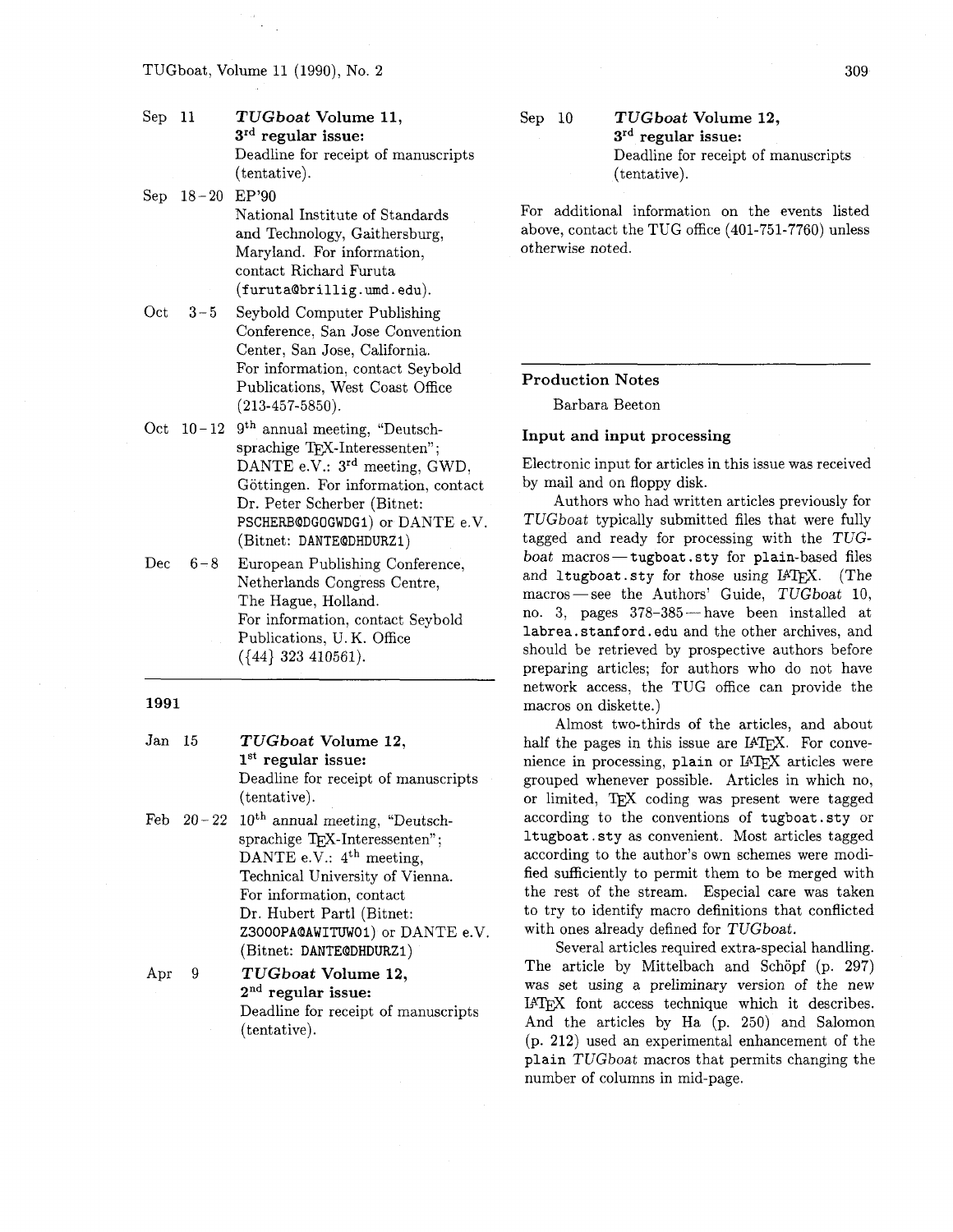#### TUGboat, Volume 11 (1990), No. 2

| Sep 11 | TUGboat Volume 11,<br>$3rd$ regular issue:          |
|--------|-----------------------------------------------------|
|        | Deadline for receipt of manuscripts<br>(tentative). |

Sep 18-20 EP'90

National Institute of Standards and Technology, Gaithersburg, Maryland. For information, contact Richard Furuta (furutaQbrillig .umd. edu).

- Oct 3-5 Seybold Computer Publishing Conference, San Jose Convention Center, San Jose, California. For information, contact Seybold Publications, West Coast Office (213-457-5850).
- Oct  $10-12$  9<sup>th</sup> annual meeting, "Deutschsprachige TFX-Interessenten": DANTE e.V.:  $3<sup>rd</sup>$  meeting, GWD, Göttingen. For information, contact Dr. Peter Scherber (Bitnet: PSCHERBQDGOGWDGI) or DANTE e.V. (Bitnet: DANTEQDHDURZI)
- Dec  $6-8$  European Publishing Conference, Netherlands Congress Centre, The Hague, Holland. For information, contact Seybold Publications, U. K. Office ((44) **323** 410561).

#### 1991

- Jan 15 **TUGboat Volume** 12, **lSt regular issue:**  Deadline for receipt of manuscripts (tentative).
- Feb  $20-22$   $10$ <sup>th</sup> annual meeting, "Deutschsprachige TFX-Interessenten"; DANTE e.V.:  $4<sup>th</sup>$  meeting, Technical University of Vienna. For information, contact Dr. Hubert Part1 (Bitnet: Z3000PAQAWITUWOl) or DANTE e.V. (Bitnet: DANTEQDHDURZI)

Apr 9 **TUGboat Volume 12, 2nd regular issue:**  Deadline for receipt of manuscripts (tentative).

Sep 10 **TUGboat Volume 12,**  3rd **regular issue:**  Deadline for receipt of manuscripts (tentative).

For additional information on the events listed above, contact the TUG office (401-751-7760) unless otherwise noted.

#### **Production Notes**

--

Barbara Beeton

#### **Input and input processing**

Electronic input for articles in this issue was received by mail and on floppy disk.

Authors who had written articles previously for TUGboat typically submitted files that were fully tagged and ready for processing with the TUG $boat$  macros-tugboat sty for plain-based files and ltugboat.sty for those using IATEX. (The boat macros - tugboat sty for plain-based files<br>and ltugboat sty for those using IAT<sub>E</sub>X. (The<br>macros - see the Authors' Guide, TUGboat 10, no. 3, pages 378-385- have been installed at labrea.stanford.edu and the other archives, and should be retrieved by prospective authors before preparing articles; for authors who do not have network access, the TUG office can provide the macros on diskette.)

Almost two-thirds of the articles, and about half the pages in this issue are  $IATFX$ . For convenience in processing, plain or IATEX articles were grouped whenever possible. Articles in which no, or limited, TEX coding was present were tagged according to the conventions of tugboat .sty or ltugboat . sty as convenient. Most articles tagged according to the author's own schemes were modified sufficiently to permit them to be merged with the rest of the stream. Especial care was taken to try to identify macro definitions that conflicted with ones already defined for TUGboat.

Several articles required extra-special handling. The article by Mittelbach and Schöpf (p. 297) was set using a preliminary version of the new IATEX font access technique which it describes. And the articles by Ha (p. 250) and Salomon (p. 212) used an experimental enhancement of the plain TUGboat macros that permits changing the number of columns in mid-page.

309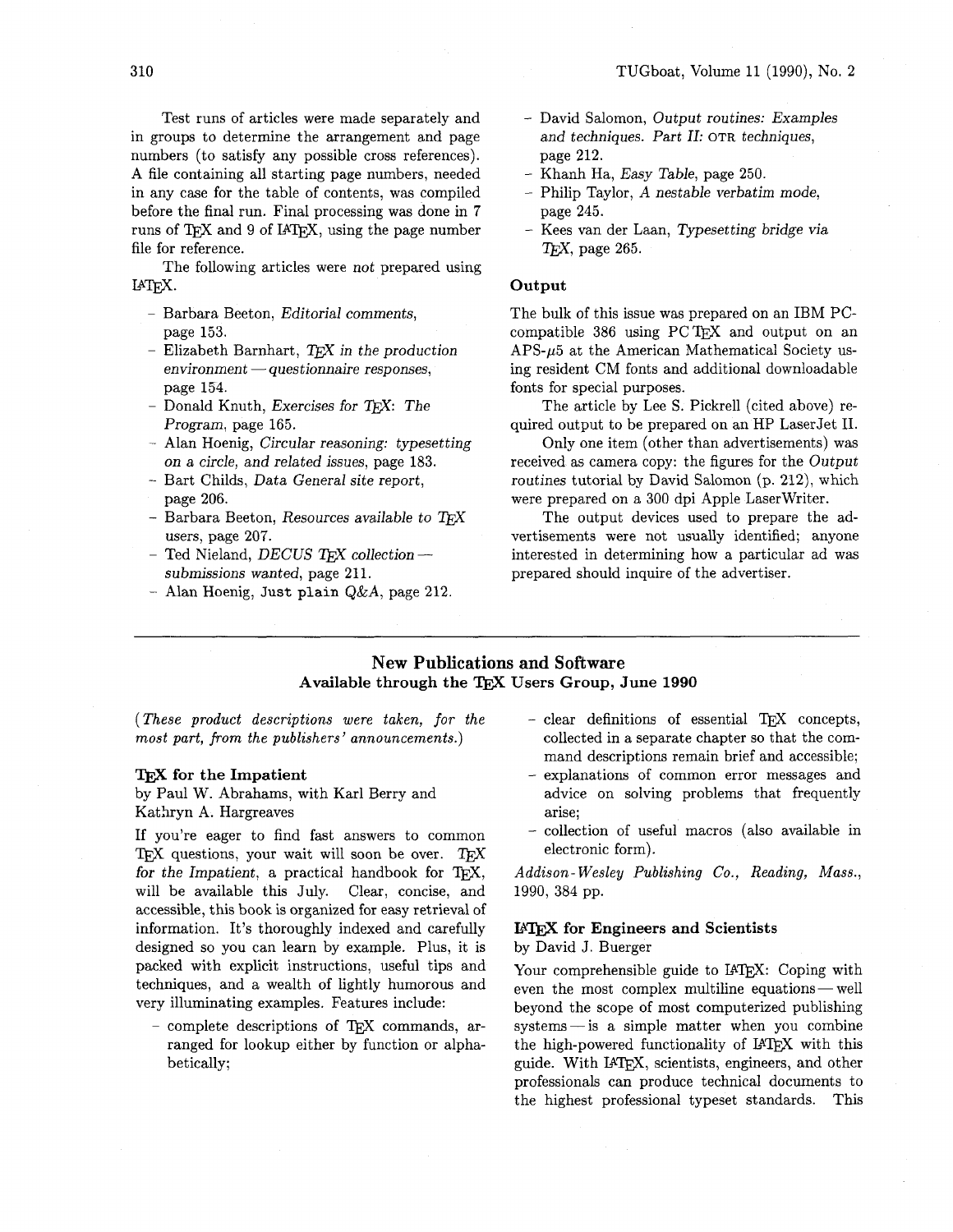Test runs of articles were made separately and in groups to determine the arrangement and page numbers (to satisfy any possible cross references). A file containing all starting page numbers, needed in any case for the table of contents, was compiled before the final run. Final processing was done in 7 runs of TFX and 9 of IATFX, using the page number

file for reference. The following articles were not prepared using IATFX.

- Barbara Beeton, Editorial comments, page 153.
- Elizabeth Barnhart,  $TEX$  in the production  $environment - questionnaire responses,$ page 154.
- Donald Knuth, Exercises for TFX: The Program, page 165.
- Alan Hoenig, Circular reasoning: typesetting on a circle, and related issues, page 183.
- Bart Childs, Data General site report, page 206.
- Barbara Beeton, Resources available to TFX users, page 207.
- Ted Nieland, DECUS TFX collection  $$ submissions wanted, page 211.
- Alan Hoenig, Just **plain Q&A,** page 212.
- David Salomon, Output routines: Examples and techniques. Part 11: OTR techniques, page 212.
- Khanh Ha, Easy Table, page 250.
- Philip Taylor, **A** nestable verbatim mode, page 245.
- Kees van der Laan, Typesetting bridge via *QX,* page 265.

#### **Output**

The bulk of this issue was prepared on an IBM PCcompatible 386 using  $PCTFX$  and output on an  $APS-\mu5$  at the American Mathematical Society using resident CM fonts and additional downloadable fonts for special purposes.

The article by Lee S. Pickrell (cited above) required output to be prepared on an HP LaserJet 11.

Only one item (other than advertisements) was received as camera copy: the figures for the Output routines tutorial by David Salomon (p. 212), which were prepared on a 300 dpi Apple LaserWriter.

The output devices used to prepare the advertisements were not usually identified; anyone interested in determining how a particular ad was prepared should inquire of the advertiser.

### **New Publications and Software Available through the** TEX **Users Group, June 1990**

(These product descriptions were taken, for the most part, from the publishers' announcements.)

#### **TEX** for the Impatient

by Paul **W.** Abrahams, with Karl Berry and Kathryn A. Hargreaves

If you're eager to find fast answers to common TFX questions, your wait will soon be over. TFX for the Impatient, a practical handbook for TEX, will be available this July. Clear, concise, and accessible, this book is organized for easy retrieval of information. It's thoroughly indexed and carefully designed so you can learn by example. Plus, it is packed with explicit instructions, useful tips and techniques, and a wealth of lightly humorous and very illuminating examples. Features include:

- complete descriptions of TFX commands, arranged for lookup either by function or alphabetically;

- $-$  clear definitions of essential TEX concepts, collected in a separate chapter so that the command descriptions remain brief and accessible;
- explanations of common error messages and advice on solving problems that frequently arise;
- collection of useful macros (also available in electronic form).

Addison- Wesley Publishing Co., Reading, Mass., 1990, 384 pp.

## I4" **for Engineers and Scientists**

### by David **J.** Buerger

Your comprehensible guide to IATEX: Coping with by David J. Buerger<br>Your comprehensible guide to IATEX: Coping with<br>even the most complex multiline equations — well beyond the scope of most computerized publishing  $systems—is a simple matter when you combine$ the high-powered functionality of IATEX with this guide. With IATFX, scientists, engineers, and other professionals can produce technical documents to the highest professional typeset standards. This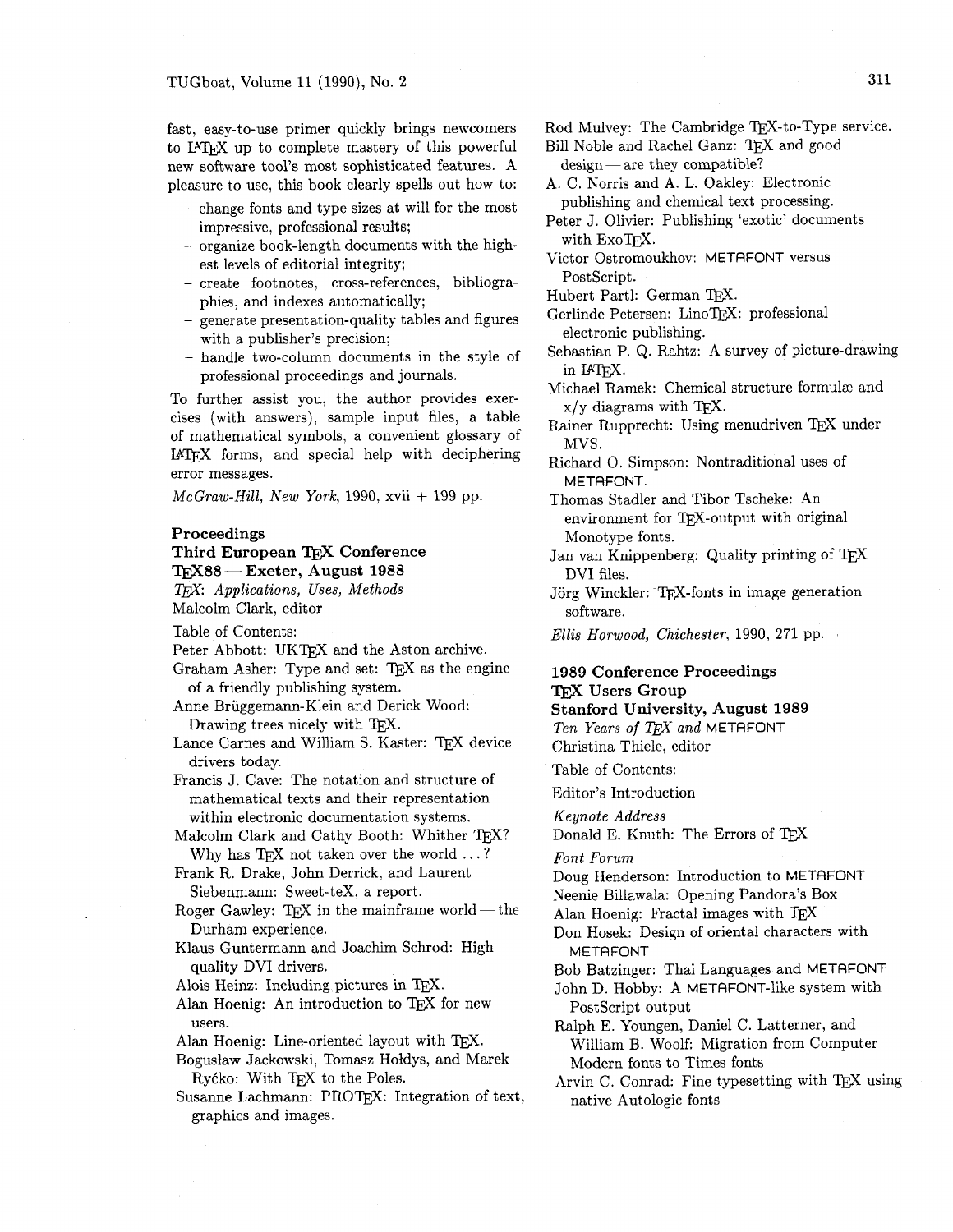fast, easy-to-use primer quickly brings newcomers to IATFX up to complete mastery of this powerful new software tool's most sophisticated features. A pleasure to use, this book clearly spells out how to:

- change fonts and type sizes at will for the most impressive, professional results;
- organize book-length documents with the highest levels of editorial integrity;
- create footnotes, cross-references, bibliographies, and indexes automatically;
- generate presentation-quality tables and figures with a publisher's precision;
- handle two-column documents in the style of professional proceedings and journals.

To further assist you, the author provides exercises (with answers), sample input files, a table of mathematical symbols, a convenient glossary of IPW forms, and special help with deciphering error messages.

 $McGraw-Hill, New York, 1990, xvii + 199 pp.$ 

#### **Proceedings**

**Third European** TEX **Conference**   $\begin{array}{l} \text{Proceedings} \ \text{Third European TEX}\ \text{Conferen} \ \text{TeX88} \text{—Exeter, August}\ 1988 \end{array}$ 

**TEX:** Applications, Uses, Methods Malcolm Clark, editor

Table of Contents:

- Peter Abbott: UKTFX and the Aston archive.
- Graham Asher: Type and set: TEX as the engine of a friendly publishing system.
- Anne Briiggemann-Klein and Derick Wood: Drawing trees nicely with  $T<sub>F</sub>X$ .
- Lance Carnes and William S. Kaster: TEX device drivers today.
- Francis J. Cave: The notation and structure of mathematical texts and their representation within electronic documentation systems.
- Malcolm Clark and Cathy Booth: Whither TEX? Why has TFX not taken over the world  $\dots$ ?

Frank R. Drake, John Derrick, and Laurent Siebenmann: Sweet-teX, a report.

- Roger Gawley: TFX in the mainframe world  $-$  the Durham experience.
- Klaus Guntermann and Joachim Schrod: High quality DVI drivers.
- Alois Heinz: Including pictures in TEX.
- Alan Hoenig: An introduction to TEX for new users.

Alan Hoenig: Line-oriented layout with TFX.

Boguslaw Jackowski, Tomasz Holdys, and Marek Rycko: With TEX to the Poles.

Susanne Lachmann: PROT<sub>F</sub>X: Integration of text, graphics and images.

Rod Mulvey: The Cambridge TEX-to-Type service.

Rod Mulvey: The Cambridge TEX-to-Type s<br>Bill Noble and Rachel Ganz: TEX and good<br>design — are they compatible?

A. C. Norris and A. L. Oakley: Electronic publishing and chemical text processing.

- Peter J. Olivier: Publishing 'exotic' documents with ExoTFX.
- Victor Ostromoukhov: METAFONT versus PostScript.

Hubert Partl: German TEX.

- Gerlinde Petersen: LinoTEX: professional electronic publishing.
- Sebastian P. Q. Rahtz: A survey of picture-drawing in IAT<sub>F</sub>X.
- Michael Ramek: Chemical structure formulæ and  $x/y$  diagrams with TFX.
- Rainer Rupprecht: Using menudriven TEX under MVS.
- Richard 0. Simpson: Nontraditional uses of METAFONT.

Thomas Stadler and Tibor Tscheke: An environment for TFX-output with original Monotype fonts.

Jan van Knippenberg: Quality printing of TEX DVI files.

- Jörg Winckler: TEX-fonts in image generation software.
- Ellis Horwood, Chichester, 1990, 271 pp.

## **1989 Conference Proceedings TFX Users Group**

**Stanford University, August 1989**  Ten Years of TEX and METAFONT Christina Thiele, editor

Table of Contents:

Editor's Introduction

Keynote Address

Donald E. Knuth: The Errors of TEX

Font Forum

Doug Henderson: Introduction to METAFONT Neenie Billawala: Opening Pandora's Box

Alan Hoenig: Fractal images with TEX

Don Hosek: Design of oriental characters with METAFONT

Bob Batzinger: Thai Languages and METAFONT John D. Hobby: A METAFONT-like system with PostScript output

Ralph E. Youngen, Daniel C. Latterner, and William B. Woolf: Migration from Computer Modern fonts to Times fonts

Arvin C. Conrad: Fine typesetting with TFX using native Autologic fonts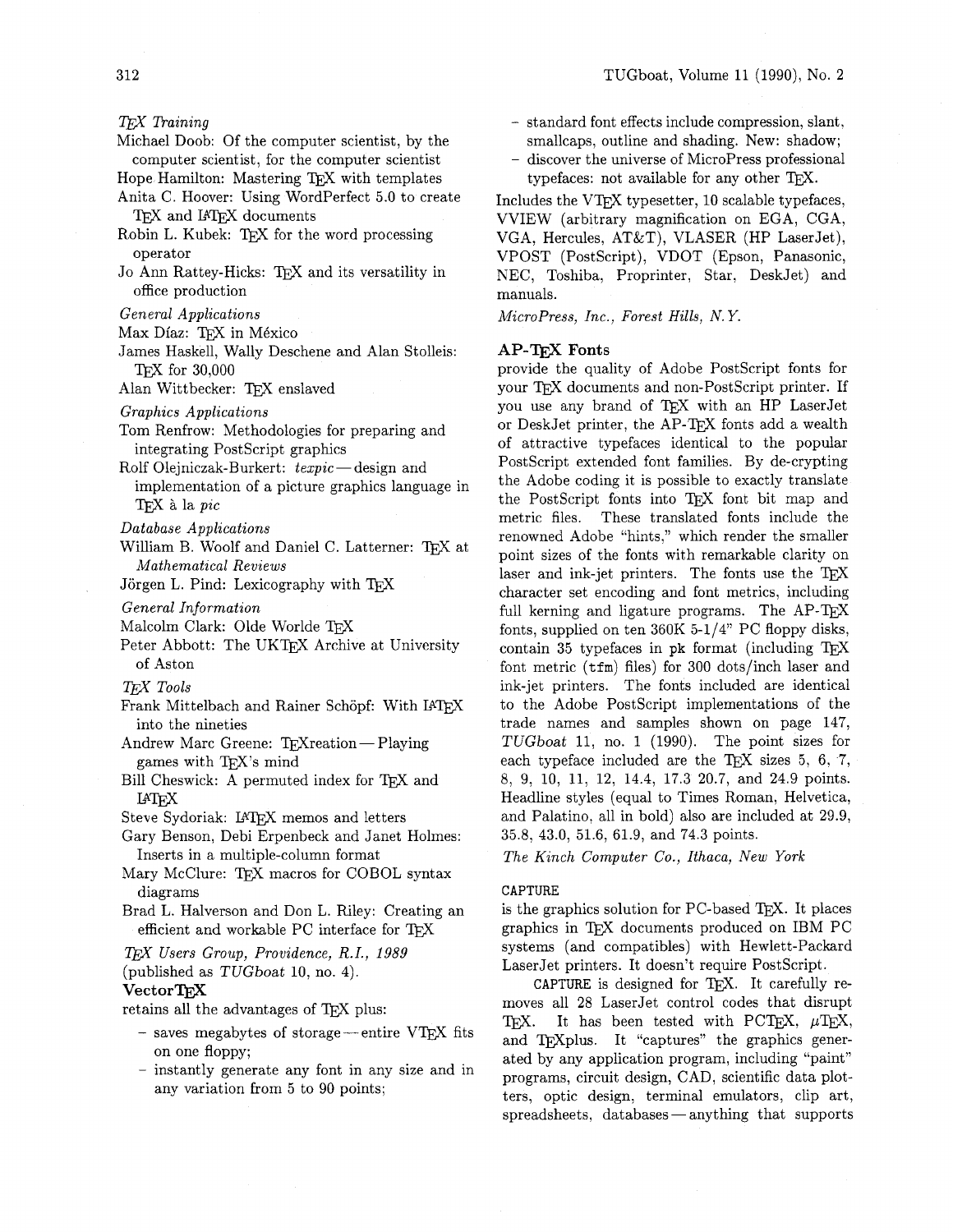*Raining* 

- Michael Doob: Of the computer scientist, by the computer scientist, for the computer scientist
- Hope Hamilton: Mastering TEX with templates
- Anita C. Hoover: Using WordPerfect 5.0 to create TFX and IATFX documents
- Robin L. Kubek: TFX for the word processing operator
- Jo Ann Rattey-Hicks: TFX and its versatility in office production
- *General Applications*
- Max Díaz: TFX in México
- James Haskell, Wally Deschene and Alan Stolleis: TFX for 30,000

Alan Wittbecker: TEX enslaved

- *Graphics Applications*
- Tom Renfrow: Methodologies for preparing and integrating PostScript graphics
- Rolf Olejniczak-Burkert: *texpic* design and implementation of a picture graphics language in & la *pic*
- *Database Applications*
- William B. Woolf and Daniel C. Latterner: TEX at *Mathematical Reviews*

Jörgen L. Pind: Lexicography with TFX

- *General Information*
- Malcolm Clark: Olde Worlde TFX
- Peter Abbott: The UKTFX Archive at University of Aston
- *T&X Tools*
- Frank Mittelbach and Rainer Schöpf: With IATFX into the nineties
- Andrew Marc Greene:  $TrX$ reation Playing games with TEX's mind
- Bill Cheswick: A permuted index for TFX and **LAT<sub>F</sub>X**
- Steve Sydoriak: IATFX memos and letters
- Gary Benson, Debi Erpenbeck and Janet Holmes: Inserts in a multiple-column format
- Mary McClure: TEX macros for COBOL syntax diagrams
- Brad L. Halverson and Don L. Riley: Creating an efficient and workable PC interface for TFX
- *T&X Users Group, Providence, R.I., 1989*  (published as TUGboat 10, no. 4).

#### VectorTFX

retains all the advantages of TEX plus:

- $-$  saves megabytes of storage—entire VTEX fits on one floppy;
- instantly generate any font in any size and in any variation from 5 to 90 points;
- standard font effects include compression, slant, smallcaps, outline and shading. New: shadow;
- discover the universe of MicroPress professional typefaces: not available for any other  $T\not\vdash X$ .

Includes the VTFX typesetter,  $10$  scalable typefaces, VVIEW (arbitrary magnification on EGA, CGA, VGA, Hercules, AT&T), VLASER (HP LaserJet), VPOST (PostScript), VDOT (Epson, Panasonic, NEC, Toshiba, Proprinter, Star, DeskJet) and manuals.

*MicroPress, Inc., Forest Hills, N. Y.* 

#### **AP-'QijX** Fonts

provide the quality of Adobe PostScript fonts for your TEX documents and non-PostScript printer. If you use any brand of TFX with an HP LaserJet or DeskJet printer, the AP-T<sub>F</sub>X fonts add a wealth of attractive typefaces identical to the popular PostScript extended font families. By de-crypting the Adobe coding it is possible to exactly translate the PostScript fonts into TEX font bit map and metric files. These translated fonts include the renowned Adobe "hints," which render the smaller point sizes of the fonts with remarkable clarity on laser and ink-jet printers. The fonts use the TFX character set encoding and font metrics, including full kerning and ligature programs. The AP-TFX fonts, supplied on ten  $360K$  5-1/4" PC floppy disks, contain 35 typefaces in  $pk$  format (including T $FX$ font metric  $(tfm)$  files) for 300 dots/inch laser and ink-jet printers. The fonts included are identical to the Adobe PostScript implementations of the trade names and samples shown on page 147, TUGboat 11, no. 1 (1990). The point sizes for each typeface included are the TEX sizes  $5, 6, 7$ , 8, 9, 10, 11, 12, 14.4, 17.3 20.7, and 24.9 points. Headline styles (equal to Times Roman, Helvetica, and Palatino, all in bold) also are included at 29.9, 35.8, 43.0, 51.6, 61.9, and 74.3 points.

*The Kinch Computer Co., Ithaca, New York* 

#### **CAPTURE**

is the graphics solution for PC-based T $\overline{F}X$ . It places graphics in TFX documents produced on IBM PC systems (and compatibles) with Hewlett-Packard LaserJet printers. It doesn't require PostScript.

CAPTURE is designed for T<sub>E</sub>X. It carefully removes all 28 LaserJet control codes that disrupt TFX. It has been tested with PCTFX,  $\mu$ TFX, and TFXplus. It "captures" the graphics generated by any application program, including "paint" programs, circuit design, CAD, scientific data plotters, optic design, terminal emulators, clip art, programs, circuit design, CAD, scientific data plotters, optic design, terminal emulators, clip art, spreadsheets, databases—anything that supports